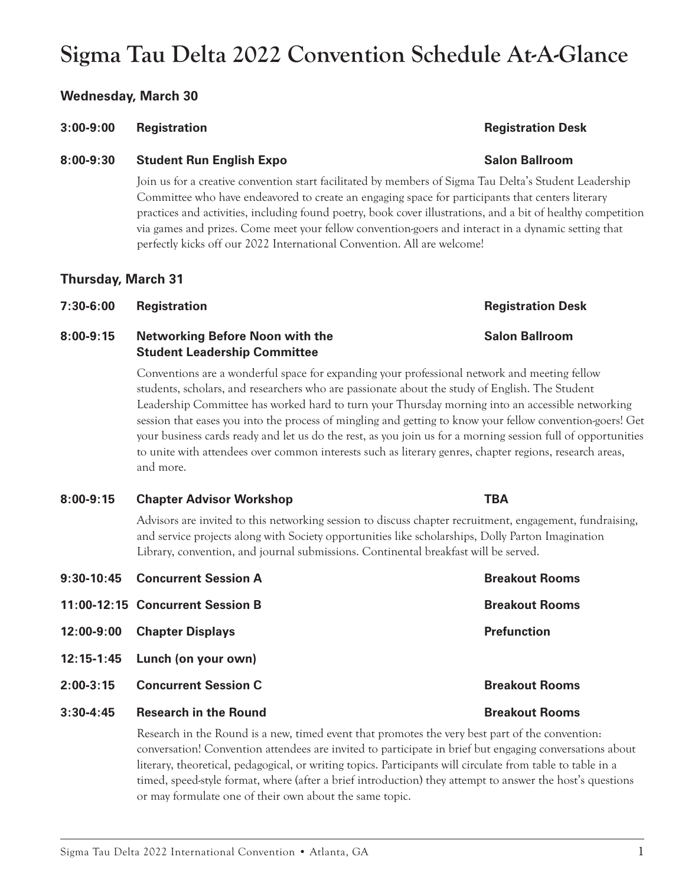# **11:00-12:15** Concurrent Session B **Breakout Rooms Breakout Rooms**

- **12:00-9:00 Chapter Displays Prefunction**
- **12:15-1:45 Lunch (on your own)**
- **2:00-3:15** Concurrent Session C Breakout Rooms
- **3:30-4:45 Research in the Round Breakout Rooms**

Research in the Round is a new, timed event that promotes the very best part of the convention: conversation! Convention attendees are invited to participate in brief but engaging conversations about literary, theoretical, pedagogical, or writing topics. Participants will circulate from table to table in a timed, speed-style format, where (after a brief introduction) they attempt to answer the host's questions or may formulate one of their own about the same topic.

### **Wednesday, March 30**

# **8:00-9:30 Student Run English Expo Salon Ballroom**

Join us for a creative convention start facilitated by members of Sigma Tau Delta's Student Leadership Committee who have endeavored to create an engaging space for participants that centers literary practices and activities, including found poetry, book cover illustrations, and a bit of healthy competition via games and prizes. Come meet your fellow convention-goers and interact in a dynamic setting that perfectly kicks off our 2022 International Convention. All are welcome!

### **Thursday, March 31**

# **7:30-6:00 Registration Registration Desk**

## **8:00-9:15 Networking Before Noon with the Salon Ballroom Student Leadership Committee**

Conventions are a wonderful space for expanding your professional network and meeting fellow students, scholars, and researchers who are passionate about the study of English. The Student Leadership Committee has worked hard to turn your Thursday morning into an accessible networking session that eases you into the process of mingling and getting to know your fellow convention-goers! Get your business cards ready and let us do the rest, as you join us for a morning session full of opportunities to unite with attendees over common interests such as literary genres, chapter regions, research areas, and more.

### **8:00-9:15 Chapter Advisor Workshop TBA**

Advisors are invited to this networking session to discuss chapter recruitment, engagement, fundraising, and service projects along with Society opportunities like scholarships, Dolly Parton Imagination Library, convention, and journal submissions. Continental breakfast will be served.

**9:30-10:45** Concurrent Session A **Breakout Rooms** 

# **3:00-9:00 Registration Registration Desk**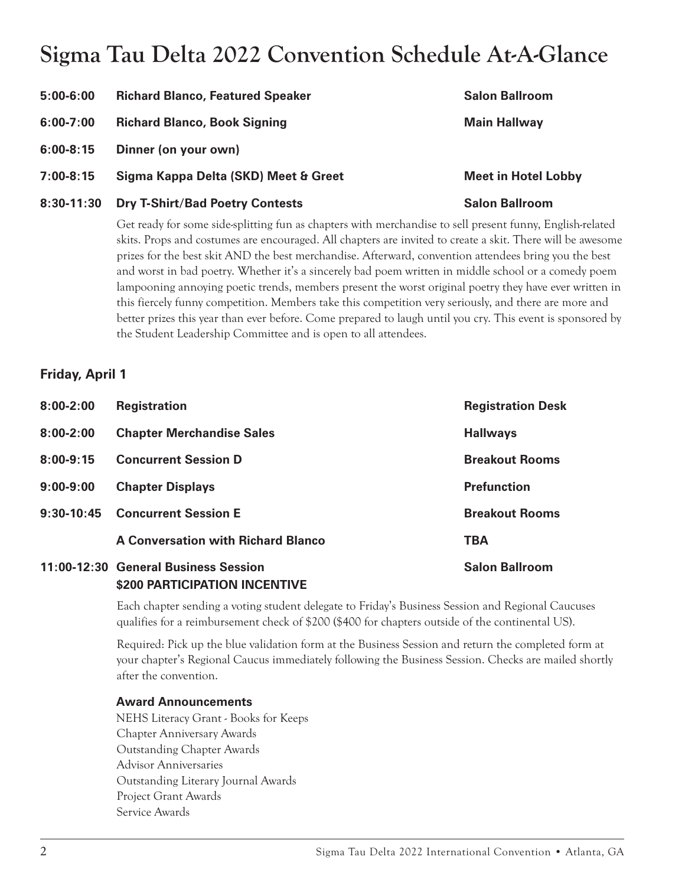| $5:00-6:00$   | <b>Richard Blanco, Featured Speaker</b> | <b>Salon Ballroom</b>      |
|---------------|-----------------------------------------|----------------------------|
| $6:00 - 7:00$ | <b>Richard Blanco, Book Signing</b>     | <b>Main Hallway</b>        |
| $6:00 - 8:15$ | Dinner (on your own)                    |                            |
| $7:00-8:15$   | Sigma Kappa Delta (SKD) Meet & Greet    | <b>Meet in Hotel Lobby</b> |
| $8:30-11:30$  | <b>Dry T-Shirt/Bad Poetry Contests</b>  | <b>Salon Ballroom</b>      |
|               |                                         |                            |

Get ready for some side-splitting fun as chapters with merchandise to sell present funny, English-related skits. Props and costumes are encouraged. All chapters are invited to create a skit. There will be awesome prizes for the best skit AND the best merchandise. Afterward, convention attendees bring you the best and worst in bad poetry. Whether it's a sincerely bad poem written in middle school or a comedy poem lampooning annoying poetic trends, members present the worst original poetry they have ever written in this fiercely funny competition. Members take this competition very seriously, and there are more and better prizes this year than ever before. Come prepared to laugh until you cry. This event is sponsored by the Student Leadership Committee and is open to all attendees.

# **Friday, April 1**

| $8:00 - 2:00$ | <b>Registration</b>                                                   | <b>Registration Desk</b> |
|---------------|-----------------------------------------------------------------------|--------------------------|
| $8:00 - 2:00$ | <b>Chapter Merchandise Sales</b>                                      | <b>Hallways</b>          |
| $8:00-9:15$   | <b>Concurrent Session D</b>                                           | <b>Breakout Rooms</b>    |
| $9:00-9:00$   | <b>Chapter Displays</b>                                               | <b>Prefunction</b>       |
| $9:30-10:45$  | <b>Concurrent Session E</b>                                           | <b>Breakout Rooms</b>    |
|               | <b>A Conversation with Richard Blanco</b>                             | <b>TBA</b>               |
|               | 11:00-12:30 General Business Session<br>\$200 PARTICIPATION INCENTIVE | <b>Salon Ballroom</b>    |

Each chapter sending a voting student delegate to Friday's Business Session and Regional Caucuses qualifies for a reimbursement check of \$200 (\$400 for chapters outside of the continental US).

Required: Pick up the blue validation form at the Business Session and return the completed form at your chapter's Regional Caucus immediately following the Business Session. Checks are mailed shortly after the convention.

# **Award Announcements**

NEHS Literacy Grant - Books for Keeps Chapter Anniversary Awards Outstanding Chapter Awards Advisor Anniversaries Outstanding Literary Journal Awards Project Grant Awards Service Awards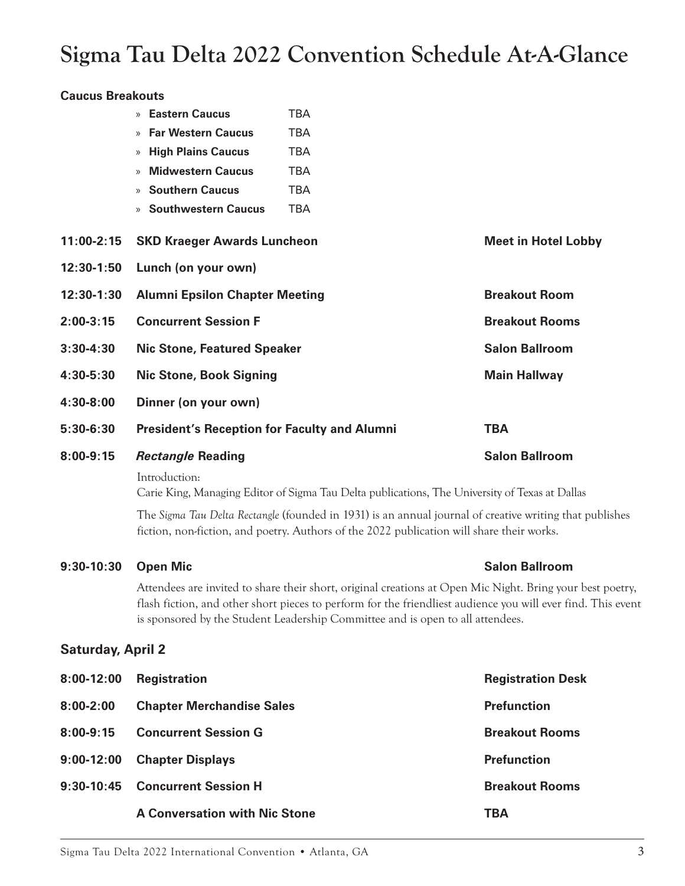| <b>Caucus Breakouts</b>  |                                                                                                                                                                                                      |                                                                                                                                                                                                                                                                                                             |                            |  |
|--------------------------|------------------------------------------------------------------------------------------------------------------------------------------------------------------------------------------------------|-------------------------------------------------------------------------------------------------------------------------------------------------------------------------------------------------------------------------------------------------------------------------------------------------------------|----------------------------|--|
|                          | » Eastern Caucus                                                                                                                                                                                     | <b>TBA</b>                                                                                                                                                                                                                                                                                                  |                            |  |
|                          | <b>Far Western Caucus</b>                                                                                                                                                                            | <b>TBA</b>                                                                                                                                                                                                                                                                                                  |                            |  |
|                          | <b>High Plains Caucus</b><br>$\gg$                                                                                                                                                                   | <b>TBA</b>                                                                                                                                                                                                                                                                                                  |                            |  |
|                          | <b>Midwestern Caucus</b><br>$\rangle$                                                                                                                                                                | <b>TBA</b>                                                                                                                                                                                                                                                                                                  |                            |  |
|                          | <b>Southern Caucus</b><br>$\rangle$                                                                                                                                                                  | <b>TBA</b>                                                                                                                                                                                                                                                                                                  |                            |  |
|                          | <b>Southwestern Caucus</b><br>$\gg$                                                                                                                                                                  | <b>TBA</b>                                                                                                                                                                                                                                                                                                  |                            |  |
| $11:00 - 2:15$           | <b>SKD Kraeger Awards Luncheon</b>                                                                                                                                                                   |                                                                                                                                                                                                                                                                                                             | <b>Meet in Hotel Lobby</b> |  |
| 12:30-1:50               | Lunch (on your own)                                                                                                                                                                                  |                                                                                                                                                                                                                                                                                                             |                            |  |
| 12:30-1:30               | <b>Alumni Epsilon Chapter Meeting</b>                                                                                                                                                                |                                                                                                                                                                                                                                                                                                             | <b>Breakout Room</b>       |  |
| $2:00-3:15$              | <b>Concurrent Session F</b>                                                                                                                                                                          |                                                                                                                                                                                                                                                                                                             | <b>Breakout Rooms</b>      |  |
| $3:30 - 4:30$            | <b>Nic Stone, Featured Speaker</b>                                                                                                                                                                   |                                                                                                                                                                                                                                                                                                             | <b>Salon Ballroom</b>      |  |
| 4:30-5:30                | <b>Nic Stone, Book Signing</b>                                                                                                                                                                       |                                                                                                                                                                                                                                                                                                             | <b>Main Hallway</b>        |  |
| 4:30-8:00                | Dinner (on your own)                                                                                                                                                                                 |                                                                                                                                                                                                                                                                                                             |                            |  |
| $5:30-6:30$              | <b>President's Reception for Faculty and Alumni</b>                                                                                                                                                  |                                                                                                                                                                                                                                                                                                             | <b>TBA</b>                 |  |
| $8:00-9:15$              | <b>Rectangle Reading</b>                                                                                                                                                                             |                                                                                                                                                                                                                                                                                                             | <b>Salon Ballroom</b>      |  |
|                          | Introduction:                                                                                                                                                                                        | Carie King, Managing Editor of Sigma Tau Delta publications, The University of Texas at Dallas                                                                                                                                                                                                              |                            |  |
|                          | The Sigma Tau Delta Rectangle (founded in 1931) is an annual journal of creative writing that publishes<br>fiction, non-fiction, and poetry. Authors of the 2022 publication will share their works. |                                                                                                                                                                                                                                                                                                             |                            |  |
| $9:30-10:30$             | <b>Open Mic</b>                                                                                                                                                                                      |                                                                                                                                                                                                                                                                                                             | <b>Salon Ballroom</b>      |  |
|                          |                                                                                                                                                                                                      | Attendees are invited to share their short, original creations at Open Mic Night. Bring your best poetry,<br>flash fiction, and other short pieces to perform for the friendliest audience you will ever find. This event<br>is sponsored by the Student Leadership Committee and is open to all attendees. |                            |  |
| <b>Saturday, April 2</b> |                                                                                                                                                                                                      |                                                                                                                                                                                                                                                                                                             |                            |  |
| $8:00-12:00$             | <b>Registration</b>                                                                                                                                                                                  |                                                                                                                                                                                                                                                                                                             | <b>Registration Desk</b>   |  |

| 0.00-14.00     | negistration                         | <b>NEGISLIQUUL DESK</b> |
|----------------|--------------------------------------|-------------------------|
| $8:00 - 2:00$  | <b>Chapter Merchandise Sales</b>     | <b>Prefunction</b>      |
| $8:00 - 9:15$  | <b>Concurrent Session G</b>          | <b>Breakout Rooms</b>   |
| $9:00 - 12:00$ | <b>Chapter Displays</b>              | <b>Prefunction</b>      |
| 9:30-10:45     | <b>Concurrent Session H</b>          | <b>Breakout Rooms</b>   |
|                | <b>A Conversation with Nic Stone</b> | TBA                     |